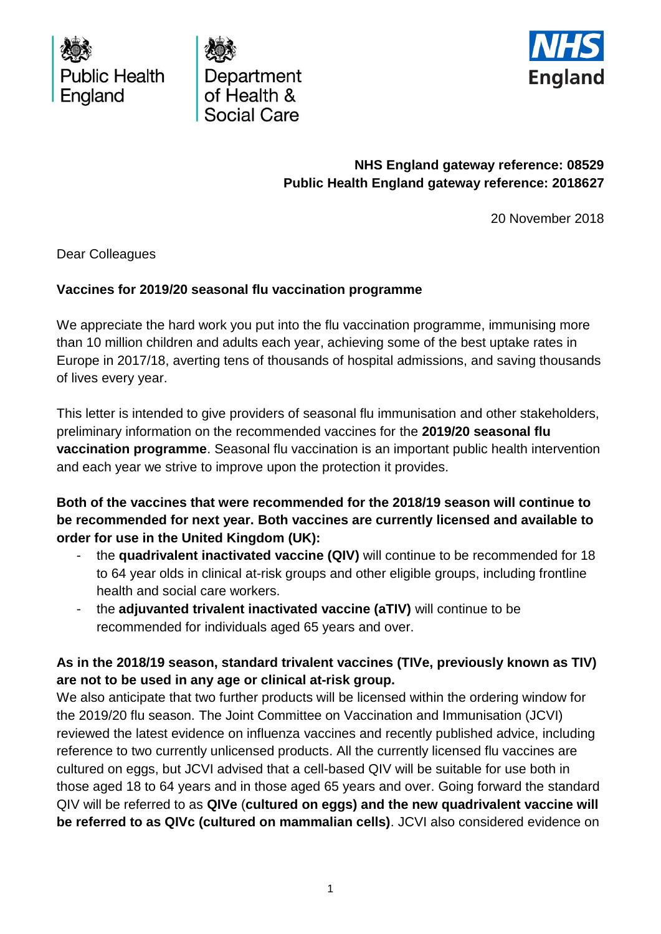





# **NHS England gateway reference: 08529 Public Health England gateway reference: 2018627**

20 November 2018

Dear Colleagues

#### **Vaccines for 2019/20 seasonal flu vaccination programme**

We appreciate the hard work you put into the flu vaccination programme, immunising more than 10 million children and adults each year, achieving some of the best uptake rates in Europe in 2017/18, averting tens of thousands of hospital admissions, and saving thousands of lives every year.

This letter is intended to give providers of seasonal flu immunisation and other stakeholders, preliminary information on the recommended vaccines for the **2019/20 seasonal flu vaccination programme**. Seasonal flu vaccination is an important public health intervention and each year we strive to improve upon the protection it provides.

**Both of the vaccines that were recommended for the 2018/19 season will continue to be recommended for next year. Both vaccines are currently licensed and available to order for use in the United Kingdom (UK):**

- the **quadrivalent inactivated vaccine (QIV)** will continue to be recommended for 18 to 64 year olds in clinical at-risk groups and other eligible groups, including frontline health and social care workers.
- the **adjuvanted trivalent inactivated vaccine (aTIV)** will continue to be recommended for individuals aged 65 years and over.

### **As in the 2018/19 season, standard trivalent vaccines (TIVe, previously known as TIV) are not to be used in any age or clinical at-risk group.**

We also anticipate that two further products will be licensed within the ordering window for the 2019/20 flu season. The Joint Committee on Vaccination and Immunisation (JCVI) reviewed the latest evidence on influenza vaccines and recently published advice, including reference to two currently unlicensed products. All the currently licensed flu vaccines are cultured on eggs, but JCVI advised that a cell-based QIV will be suitable for use both in those aged 18 to 64 years and in those aged 65 years and over. Going forward the standard QIV will be referred to as **QIVe** (**cultured on eggs) and the new quadrivalent vaccine will be referred to as QIVc (cultured on mammalian cells)**. JCVI also considered evidence on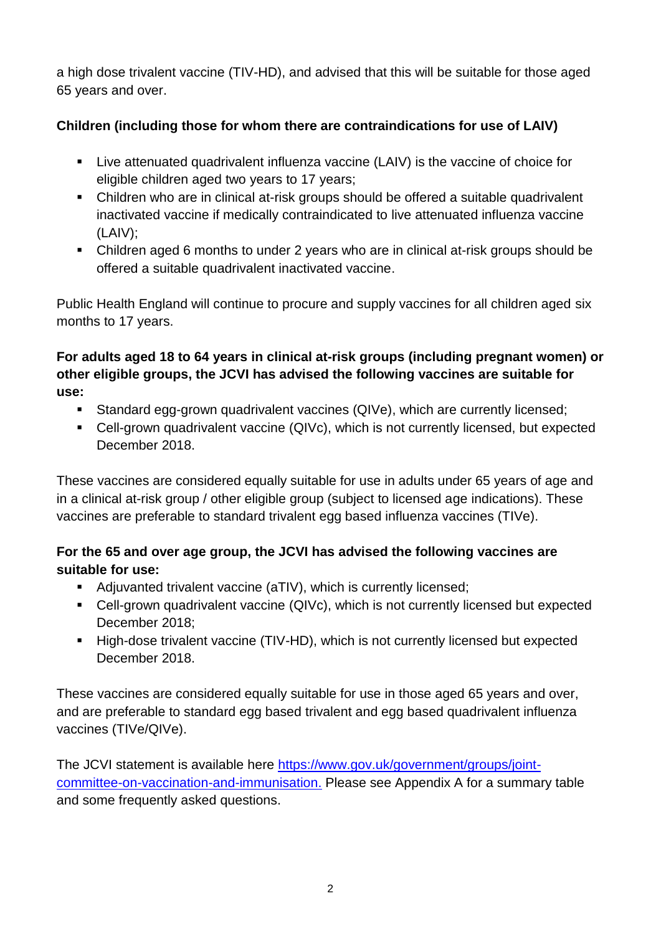a high dose trivalent vaccine (TIV-HD), and advised that this will be suitable for those aged 65 years and over.

# **Children (including those for whom there are contraindications for use of LAIV)**

- Live attenuated quadrivalent influenza vaccine (LAIV) is the vaccine of choice for eligible children aged two years to 17 years;
- Children who are in clinical at-risk groups should be offered a suitable quadrivalent inactivated vaccine if medically contraindicated to live attenuated influenza vaccine (LAIV);
- Children aged 6 months to under 2 years who are in clinical at-risk groups should be offered a suitable quadrivalent inactivated vaccine.

Public Health England will continue to procure and supply vaccines for all children aged six months to 17 years.

**For adults aged 18 to 64 years in clinical at-risk groups (including pregnant women) or other eligible groups, the JCVI has advised the following vaccines are suitable for use:**

- Standard egg-grown quadrivalent vaccines (QIVe), which are currently licensed;
- Cell-grown quadrivalent vaccine (QIVc), which is not currently licensed, but expected December 2018.

These vaccines are considered equally suitable for use in adults under 65 years of age and in a clinical at-risk group / other eligible group (subject to licensed age indications). These vaccines are preferable to standard trivalent egg based influenza vaccines (TIVe).

# **For the 65 and over age group, the JCVI has advised the following vaccines are suitable for use:**

- Adjuvanted trivalent vaccine (aTIV), which is currently licensed;
- Cell-grown quadrivalent vaccine (QIVc), which is not currently licensed but expected December 2018;
- High-dose trivalent vaccine (TIV-HD), which is not currently licensed but expected December 2018.

These vaccines are considered equally suitable for use in those aged 65 years and over, and are preferable to standard egg based trivalent and egg based quadrivalent influenza vaccines (TIVe/QIVe).

The JCVI statement is available here [https://www.gov.uk/government/groups/joint](https://www.gov.uk/government/groups/joint-committee-on-vaccination-and-immunisation)[committee-on-vaccination-and-immunisation.](https://www.gov.uk/government/groups/joint-committee-on-vaccination-and-immunisation) Please see Appendix A for a summary table and some frequently asked questions.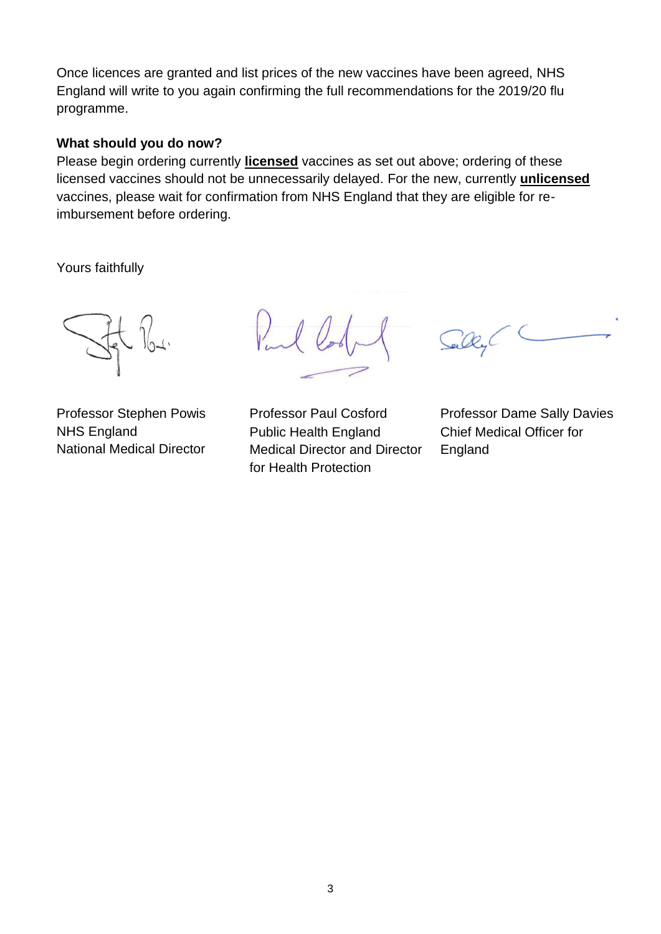Once licences are granted and list prices of the new vaccines have been agreed, NHS England will write to you again confirming the full recommendations for the 2019/20 flu programme.

#### **What should you do now?**

Please begin ordering currently **licensed** vaccines as set out above; ordering of these licensed vaccines should not be unnecessarily delayed. For the new, currently **unlicensed** vaccines, please wait for confirmation from NHS England that they are eligible for reimbursement before ordering.

Yours faithfully

NHS England National Medical Director

Public Health England Medical Director and Director for Health Protection

Professor Stephen Powis Professor Paul Cosford Professor Dame Sally Davies Chief Medical Officer for England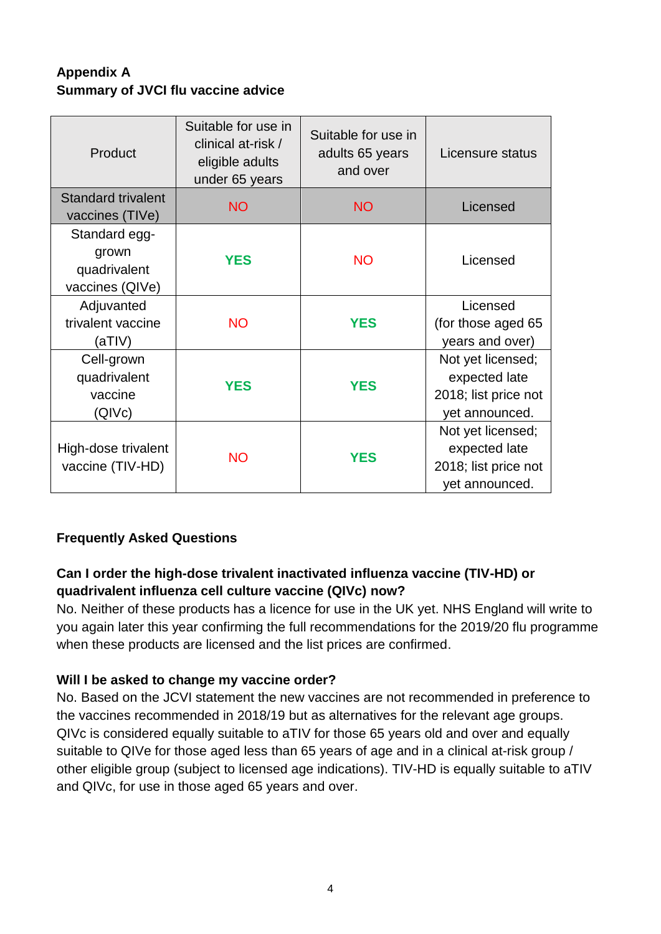# **Appendix A Summary of JVCI flu vaccine advice**

| Product                                                   | Suitable for use in<br>clinical at-risk /<br>eligible adults<br>under 65 years | Suitable for use in<br>adults 65 years<br>and over | Licensure status                                                             |
|-----------------------------------------------------------|--------------------------------------------------------------------------------|----------------------------------------------------|------------------------------------------------------------------------------|
| <b>Standard trivalent</b><br>vaccines (TIVe)              | <b>NO</b>                                                                      | <b>NO</b>                                          | Licensed                                                                     |
| Standard egg-<br>grown<br>quadrivalent<br>vaccines (QIVe) | <b>YES</b>                                                                     | <b>NO</b>                                          | Licensed                                                                     |
| Adjuvanted<br>trivalent vaccine<br>(aTIV)                 | <b>NO</b>                                                                      | <b>YES</b>                                         | Licensed<br>(for those aged 65)<br>years and over)                           |
| Cell-grown<br>quadrivalent<br>vaccine<br>(QIVc)           | <b>YES</b>                                                                     | <b>YES</b>                                         | Not yet licensed;<br>expected late<br>2018; list price not<br>yet announced. |
| High-dose trivalent<br>vaccine (TIV-HD)                   | <b>NO</b>                                                                      | <b>YES</b>                                         | Not yet licensed;<br>expected late<br>2018; list price not<br>yet announced. |

## **Frequently Asked Questions**

### **Can I order the high-dose trivalent inactivated influenza vaccine (TIV-HD) or quadrivalent influenza cell culture vaccine (QIVc) now?**

No. Neither of these products has a licence for use in the UK yet. NHS England will write to you again later this year confirming the full recommendations for the 2019/20 flu programme when these products are licensed and the list prices are confirmed.

#### **Will I be asked to change my vaccine order?**

No. Based on the JCVI statement the new vaccines are not recommended in preference to the vaccines recommended in 2018/19 but as alternatives for the relevant age groups. QIVc is considered equally suitable to aTIV for those 65 years old and over and equally suitable to QIVe for those aged less than 65 years of age and in a clinical at-risk group / other eligible group (subject to licensed age indications). TIV-HD is equally suitable to aTIV and QIVc, for use in those aged 65 years and over.